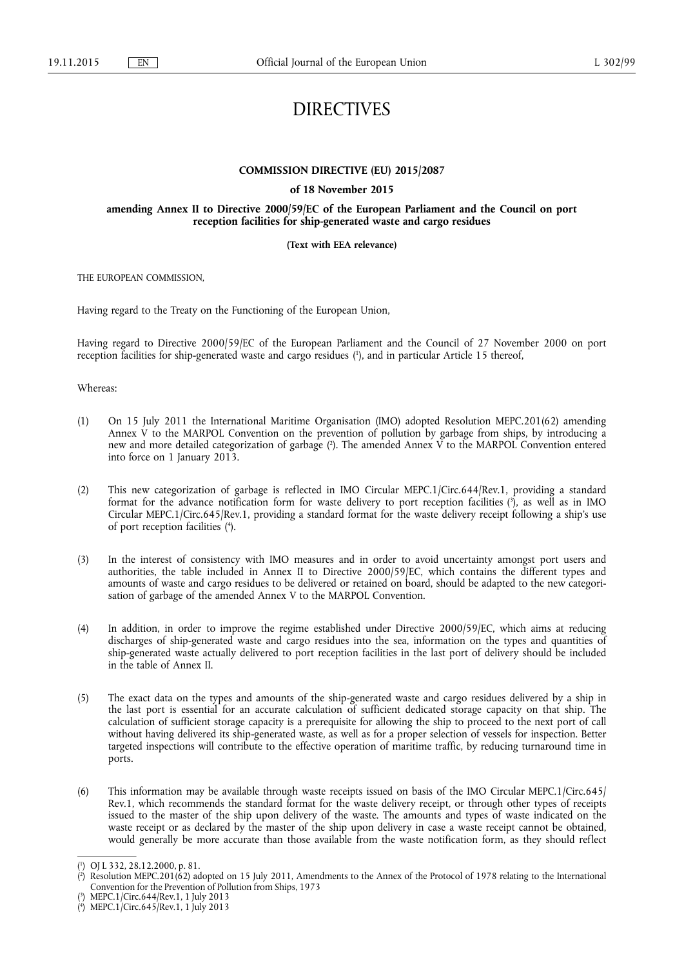# DIRECTIVES

# **COMMISSION DIRECTIVE (EU) 2015/2087**

#### **of 18 November 2015**

# **amending Annex II to Directive 2000/59/EC of the European Parliament and the Council on port reception facilities for ship-generated waste and cargo residues**

#### **(Text with EEA relevance)**

THE EUROPEAN COMMISSION,

Having regard to the Treaty on the Functioning of the European Union,

Having regard to Directive 2000/59/EC of the European Parliament and the Council of 27 November 2000 on port reception facilities for ship-generated waste and cargo residues ( 1 ), and in particular Article 15 thereof,

Whereas:

- (1) On 15 July 2011 the International Maritime Organisation (IMO) adopted Resolution MEPC.201(62) amending Annex V to the MARPOL Convention on the prevention of pollution by garbage from ships, by introducing a new and more detailed categorization of garbage ( 2 ). The amended Annex V to the MARPOL Convention entered into force on 1 January 2013.
- (2) This new categorization of garbage is reflected in IMO Circular MEPC.1/Circ.644/Rev.1, providing a standard format for the advance notification form for waste delivery to port reception facilities ( 3 ), as well as in IMO Circular MEPC.1/Circ.645/Rev.1, providing a standard format for the waste delivery receipt following a ship's use of port reception facilities ( 4 ).
- (3) In the interest of consistency with IMO measures and in order to avoid uncertainty amongst port users and authorities, the table included in Annex II to Directive 2000/59/EC, which contains the different types and amounts of waste and cargo residues to be delivered or retained on board, should be adapted to the new categorisation of garbage of the amended Annex V to the MARPOL Convention.
- (4) In addition, in order to improve the regime established under Directive 2000/59/EC, which aims at reducing discharges of ship-generated waste and cargo residues into the sea, information on the types and quantities of ship-generated waste actually delivered to port reception facilities in the last port of delivery should be included in the table of Annex II.
- (5) The exact data on the types and amounts of the ship-generated waste and cargo residues delivered by a ship in the last port is essential for an accurate calculation of sufficient dedicated storage capacity on that ship. The calculation of sufficient storage capacity is a prerequisite for allowing the ship to proceed to the next port of call without having delivered its ship-generated waste, as well as for a proper selection of vessels for inspection. Better targeted inspections will contribute to the effective operation of maritime traffic, by reducing turnaround time in ports.
- (6) This information may be available through waste receipts issued on basis of the IMO Circular MEPC.1/Circ.645/ Rev.1, which recommends the standard format for the waste delivery receipt, or through other types of receipts issued to the master of the ship upon delivery of the waste. The amounts and types of waste indicated on the waste receipt or as declared by the master of the ship upon delivery in case a waste receipt cannot be obtained, would generally be more accurate than those available from the waste notification form, as they should reflect

( 2 ) Resolution MEPC.201(62) adopted on 15 July 2011, Amendments to the Annex of the Protocol of 1978 relating to the International Convention for the Prevention of Pollution from Ships, 1973

<sup>(</sup> 1 ) OJ L 332, 28.12.2000, p. 81.

<sup>(</sup> 3 ) MEPC.1/Circ.644/Rev.1, 1 July 2013

<sup>(</sup> 4 ) MEPC.1/Circ.645/Rev.1, 1 July 2013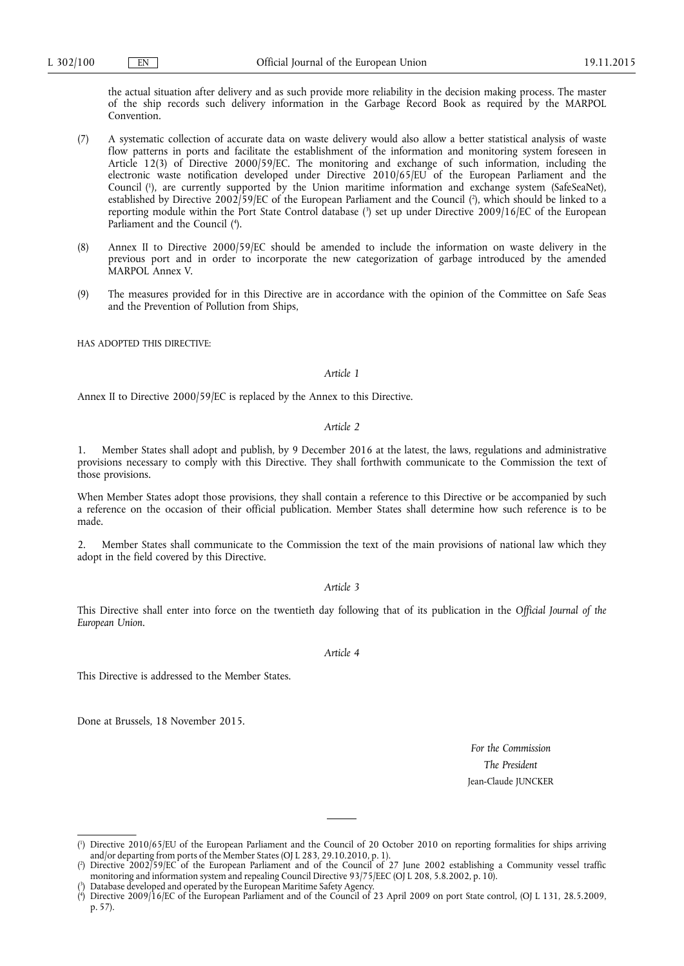the actual situation after delivery and as such provide more reliability in the decision making process. The master of the ship records such delivery information in the Garbage Record Book as required by the MARPOL Convention.

- (7) A systematic collection of accurate data on waste delivery would also allow a better statistical analysis of waste flow patterns in ports and facilitate the establishment of the information and monitoring system foreseen in Article 12(3) of Directive 2000/59/EC. The monitoring and exchange of such information, including the electronic waste notification developed under Directive 2010/65/EU of the European Parliament and the Council ( 1 ), are currently supported by the Union maritime information and exchange system (SafeSeaNet), established by Directive 2002/59/EC of the European Parliament and the Council ( 2 ), which should be linked to a reporting module within the Port State Control database ( 3 ) set up under Directive 2009/16/EC of the European Parliament and the Council ( 4 ).
- (8) Annex II to Directive 2000/59/EC should be amended to include the information on waste delivery in the previous port and in order to incorporate the new categorization of garbage introduced by the amended MARPOL Annex V.
- (9) The measures provided for in this Directive are in accordance with the opinion of the Committee on Safe Seas and the Prevention of Pollution from Ships,

HAS ADOPTED THIS DIRECTIVE:

#### *Article 1*

Annex II to Directive 2000/59/EC is replaced by the Annex to this Directive.

#### *Article 2*

Member States shall adopt and publish, by 9 December 2016 at the latest, the laws, regulations and administrative provisions necessary to comply with this Directive. They shall forthwith communicate to the Commission the text of those provisions.

When Member States adopt those provisions, they shall contain a reference to this Directive or be accompanied by such a reference on the occasion of their official publication. Member States shall determine how such reference is to be made.

2. Member States shall communicate to the Commission the text of the main provisions of national law which they adopt in the field covered by this Directive.

#### *Article 3*

This Directive shall enter into force on the twentieth day following that of its publication in the *Official Journal of the European Union*.

*Article 4* 

This Directive is addressed to the Member States.

Done at Brussels, 18 November 2015.

*For the Commission The President*  Jean-Claude JUNCKER

<sup>(</sup> 1 ) Directive 2010/65/EU of the European Parliament and the Council of 20 October 2010 on reporting formalities for ships arriving and/or departing from ports of the Member States (OJ L 283, 29.10.2010, p. 1).

<sup>(</sup> 2 ) Directive 2002/59/EC of the European Parliament and of the Council of 27 June 2002 establishing a Community vessel traffic monitoring and information system and repealing Council Directive 93/75/EEC (OJ L 208, 5.8.2002, p. 10).

<sup>(</sup> 3 ) Database developed and operated by the European Maritime Safety Agency.

<sup>(</sup> 4 ) Directive 2009/16/EC of the European Parliament and of the Council of 23 April 2009 on port State control, (OJ L 131, 28.5.2009, p. 57).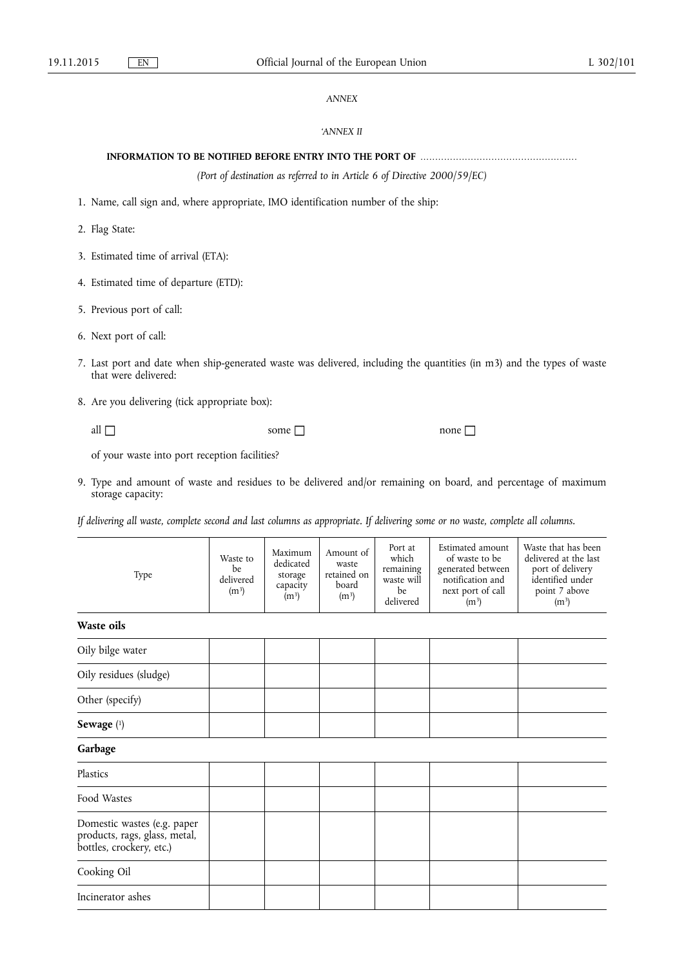# *ANNEX*

# *'ANNEX II*

# **INFORMATION TO BE NOTIFIED BEFORE ENTRY INTO THE PORT OF** .....................................................

*(Port of destination as referred to in Article 6 of Directive 2000/59/EC)* 

- 1. Name, call sign and, where appropriate, IMO identification number of the ship:
- 2. Flag State:
- 3. Estimated time of arrival (ETA):
- 4. Estimated time of departure (ETD):
- 5. Previous port of call:
- 6. Next port of call:
- 7. Last port and date when ship-generated waste was delivered, including the quantities (in m3) and the types of waste that were delivered:

8. Are you delivering (tick appropriate box):

all some none

of your waste into port reception facilities?

9. Type and amount of waste and residues to be delivered and/or remaining on board, and percentage of maximum storage capacity:

*If delivering all waste, complete second and last columns as appropriate. If delivering some or no waste, complete all columns.* 

| Type                                                                                     | Waste to<br>be<br>delivered<br>(m <sup>3</sup> ) | Maximum<br>dedicated<br>storage<br>capacity<br>$(m^3)$ | Amount of<br>waste<br>retained on<br>board<br>$(m^3)$ | Port at<br>which<br>remaining<br>waste will<br>be<br>delivered | Estimated amount<br>of waste to be<br>generated between<br>notification and<br>next port of call<br>(m <sup>3</sup> ) | Waste that has been<br>delivered at the last<br>port of delivery<br>identified under<br>point 7 above<br>(m <sup>3</sup> ) |  |  |  |  |
|------------------------------------------------------------------------------------------|--------------------------------------------------|--------------------------------------------------------|-------------------------------------------------------|----------------------------------------------------------------|-----------------------------------------------------------------------------------------------------------------------|----------------------------------------------------------------------------------------------------------------------------|--|--|--|--|
| Waste oils                                                                               |                                                  |                                                        |                                                       |                                                                |                                                                                                                       |                                                                                                                            |  |  |  |  |
| Oily bilge water                                                                         |                                                  |                                                        |                                                       |                                                                |                                                                                                                       |                                                                                                                            |  |  |  |  |
| Oily residues (sludge)                                                                   |                                                  |                                                        |                                                       |                                                                |                                                                                                                       |                                                                                                                            |  |  |  |  |
| Other (specify)                                                                          |                                                  |                                                        |                                                       |                                                                |                                                                                                                       |                                                                                                                            |  |  |  |  |
| Sewage $(1)$                                                                             |                                                  |                                                        |                                                       |                                                                |                                                                                                                       |                                                                                                                            |  |  |  |  |
| Garbage                                                                                  |                                                  |                                                        |                                                       |                                                                |                                                                                                                       |                                                                                                                            |  |  |  |  |
| Plastics                                                                                 |                                                  |                                                        |                                                       |                                                                |                                                                                                                       |                                                                                                                            |  |  |  |  |
| Food Wastes                                                                              |                                                  |                                                        |                                                       |                                                                |                                                                                                                       |                                                                                                                            |  |  |  |  |
| Domestic wastes (e.g. paper<br>products, rags, glass, metal,<br>bottles, crockery, etc.) |                                                  |                                                        |                                                       |                                                                |                                                                                                                       |                                                                                                                            |  |  |  |  |
| Cooking Oil                                                                              |                                                  |                                                        |                                                       |                                                                |                                                                                                                       |                                                                                                                            |  |  |  |  |
| Incinerator ashes                                                                        |                                                  |                                                        |                                                       |                                                                |                                                                                                                       |                                                                                                                            |  |  |  |  |